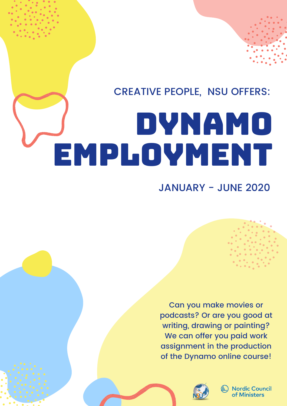## CREATIVE PEOPLE, NSU OFFERS:

# DYNAMO EMPLOYMENT

### JANUARY - JUNE 2020

Can you make movies or podcasts? Or are you good at writing, drawing or painting? We can offer you paid work assignment in the production of the Dynamo online course!



**Nordic Council** of Ministers